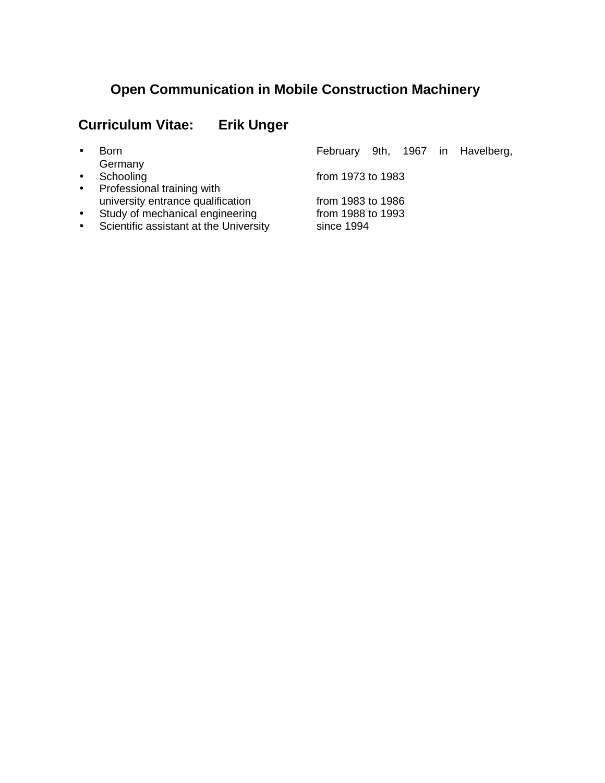# **Open Communication in Mobile Construction Machinery**

# **Curriculum Vitae: Erik Unger**

| $\bullet$ | <b>Born</b>                            |                   |  |  |  | February 9th, 1967 in Havelberg, |
|-----------|----------------------------------------|-------------------|--|--|--|----------------------------------|
|           | Germany                                |                   |  |  |  |                                  |
| $\bullet$ | Schooling                              | from 1973 to 1983 |  |  |  |                                  |
| $\bullet$ | Professional training with             |                   |  |  |  |                                  |
|           | university entrance qualification      | from 1983 to 1986 |  |  |  |                                  |
| $\bullet$ | Study of mechanical engineering        | from 1988 to 1993 |  |  |  |                                  |
| $\bullet$ | Scientific assistant at the University | since 1994        |  |  |  |                                  |
|           |                                        |                   |  |  |  |                                  |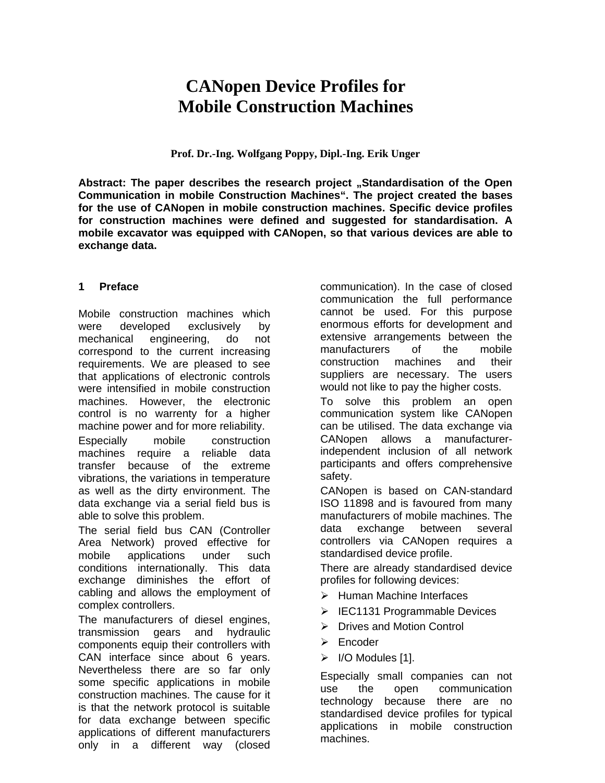# **CANopen Device Profiles for Mobile Construction Machines**

**Prof. Dr.-Ing. Wolfgang Poppy, Dipl.-Ing. Erik Unger**

Abstract: The paper describes the research project "Standardisation of the Open **Communication in mobile Construction Machines". The project created the bases for the use of CANopen in mobile construction machines. Specific device profiles for construction machines were defined and suggested for standardisation. A mobile excavator was equipped with CANopen, so that various devices are able to exchange data.**

#### **1 Preface**

Mobile construction machines which were developed exclusively by mechanical engineering, do not correspond to the current increasing requirements. We are pleased to see that applications of electronic controls were intensified in mobile construction machines. However, the electronic control is no warrenty for a higher machine power and for more reliability.

Especially mobile construction machines require a reliable data transfer because of the extreme vibrations, the variations in temperature as well as the dirty environment. The data exchange via a serial field bus is able to solve this problem.

The serial field bus CAN (Controller Area Network) proved effective for mobile applications under such conditions internationally. This data exchange diminishes the effort of cabling and allows the employment of complex controllers.

The manufacturers of diesel engines, transmission gears and hydraulic components equip their controllers with CAN interface since about 6 years. Nevertheless there are so far only some specific applications in mobile construction machines. The cause for it is that the network protocol is suitable for data exchange between specific applications of different manufacturers only in a different way (closed

communication). In the case of closed communication the full performance cannot be used. For this purpose enormous efforts for development and extensive arrangements between the manufacturers of the mobile construction machines and their suppliers are necessary. The users would not like to pay the higher costs.

To solve this problem an open communication system like CANopen can be utilised. The data exchange via CANopen allows a manufacturerindependent inclusion of all network participants and offers comprehensive safety.

CANopen is based on CAN-standard ISO 11898 and is favoured from many manufacturers of mobile machines. The data exchange between several controllers via CANopen requires a standardised device profile.

There are already standardised device profiles for following devices:

- $\triangleright$  Human Machine Interfaces
- $\triangleright$  IEC1131 Programmable Devices
- $\triangleright$  Drives and Motion Control
- $\triangleright$  Encoder
- ÿ I/O Modules [1].

Especially small companies can not use the open communication technology because there are no standardised device profiles for typical applications in mobile construction machines.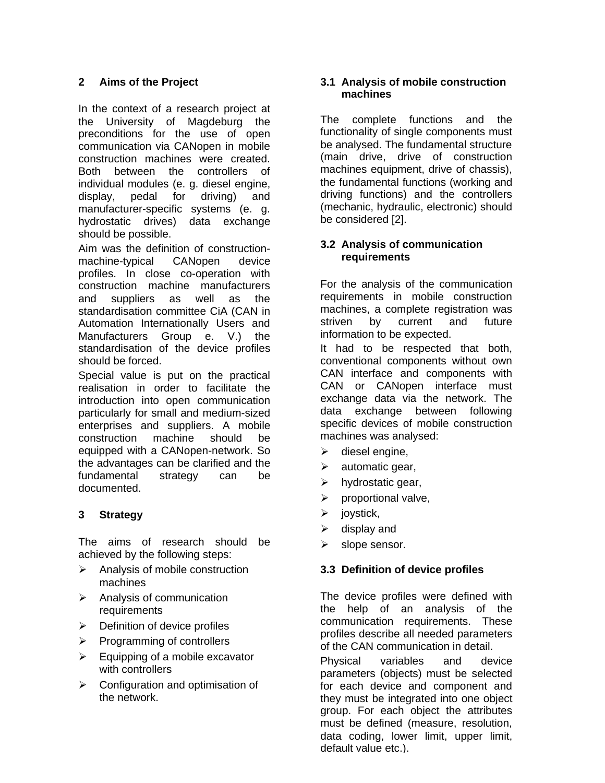# **2 Aims of the Project**

In the context of a research project at the University of Magdeburg the preconditions for the use of open communication via CANopen in mobile construction machines were created. Both between the controllers of individual modules (e. g. diesel engine, display, pedal for driving) and manufacturer-specific systems (e. g. hydrostatic drives) data exchange should be possible.

Aim was the definition of constructionmachine-typical CANopen device profiles. In close co-operation with construction machine manufacturers and suppliers as well as the standardisation committee CiA (CAN in Automation Internationally Users and Manufacturers Group e. V.) the standardisation of the device profiles should be forced.

Special value is put on the practical realisation in order to facilitate the introduction into open communication particularly for small and medium-sized enterprises and suppliers. A mobile construction machine should be equipped with a CANopen-network. So the advantages can be clarified and the fundamental strategy can be documented.

# **3 Strategy**

The aims of research should be achieved by the following steps:

- $\triangleright$  Analysis of mobile construction machines
- $\triangleright$  Analysis of communication **requirements**
- $\triangleright$  Definition of device profiles
- $\triangleright$  Programming of controllers
- $\triangleright$  Equipping of a mobile excavator with controllers
- $\triangleright$  Configuration and optimisation of the network.

## **3.1 Analysis of mobile construction machines**

The complete functions and the functionality of single components must be analysed. The fundamental structure (main drive, drive of construction machines equipment, drive of chassis), the fundamental functions (working and driving functions) and the controllers (mechanic, hydraulic, electronic) should be considered [2].

## **3.2 Analysis of communication requirements**

For the analysis of the communication requirements in mobile construction machines, a complete registration was striven by current and future information to be expected.

It had to be respected that both, conventional components without own CAN interface and components with CAN or CANopen interface must exchange data via the network. The data exchange between following specific devices of mobile construction machines was analysed:

- $\triangleright$  diesel engine,
- $\triangleright$  automatic gear,
- $\triangleright$  hydrostatic gear,
- $\triangleright$  proportional valve,
- $\triangleright$  joystick,
- $\triangleright$  display and
- $\triangleright$  slope sensor.

## **3.3 Definition of device profiles**

The device profiles were defined with the help of an analysis of the communication requirements. These profiles describe all needed parameters of the CAN communication in detail.

Physical variables and device parameters (objects) must be selected for each device and component and they must be integrated into one object group. For each object the attributes must be defined (measure, resolution, data coding, lower limit, upper limit, default value etc.).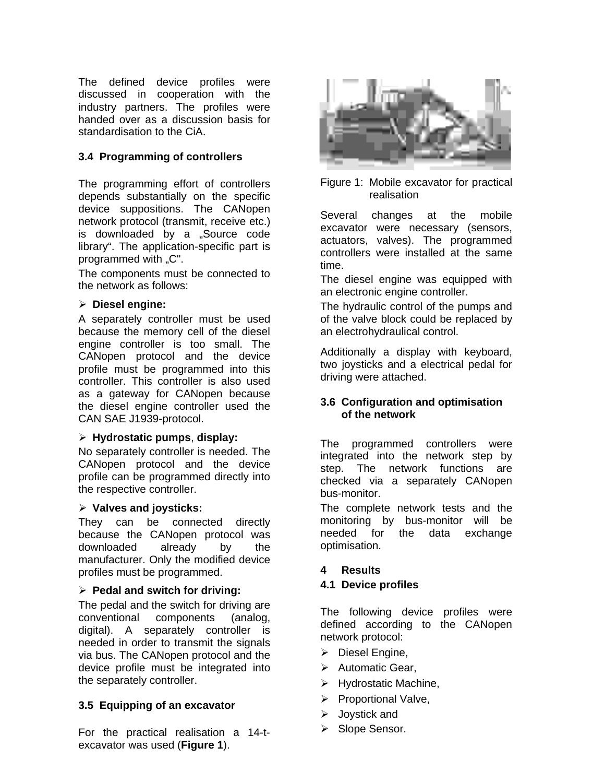The defined device profiles were discussed in cooperation with the industry partners. The profiles were handed over as a discussion basis for standardisation to the CiA.

# **3.4 Programming of controllers**

The programming effort of controllers depends substantially on the specific device suppositions. The CANopen network protocol (transmit, receive etc.) is downloaded by a "Source code library". The application-specific part is programmed with "C".

The components must be connected to the network as follows:

#### ÿ **Diesel engine:**

A separately controller must be used because the memory cell of the diesel engine controller is too small. The CANopen protocol and the device profile must be programmed into this controller. This controller is also used as a gateway for CANopen because the diesel engine controller used the CAN SAE J1939-protocol.

#### ÿ **Hydrostatic pumps**, **display:**

No separately controller is needed. The CANopen protocol and the device profile can be programmed directly into the respective controller.

## ÿ **Valves and joysticks:**

They can be connected directly because the CANopen protocol was downloaded already by the manufacturer. Only the modified device profiles must be programmed.

#### ÿ **Pedal and switch for driving:**

The pedal and the switch for driving are conventional components (analog, digital). A separately controller is needed in order to transmit the signals via bus. The CANopen protocol and the device profile must be integrated into the separately controller.

## **3.5 Equipping of an excavator**

For the practical realisation a 14-texcavator was used (**Figure 1**).



Figure 1: Mobile excavator for practical realisation

Several changes at the mobile excavator were necessary (sensors, actuators, valves). The programmed controllers were installed at the same time.

The diesel engine was equipped with an electronic engine controller.

The hydraulic control of the pumps and of the valve block could be replaced by an electrohydraulical control.

Additionally a display with keyboard, two joysticks and a electrical pedal for driving were attached.

## **3.6 Configuration and optimisation of the network**

The programmed controllers were integrated into the network step by step. The network functions are checked via a separately CANopen bus-monitor.

The complete network tests and the monitoring by bus-monitor will be needed for the data exchange optimisation.

#### **4 Results**

#### **4.1 Device profiles**

The following device profiles were defined according to the CANopen network protocol:

- $\triangleright$  Diesel Engine,
- $\triangleright$  Automatic Gear,
- $\triangleright$  Hydrostatic Machine,
- $\triangleright$  Proportional Valve,
- $\triangleright$  Joystick and
- ▶ Slope Sensor.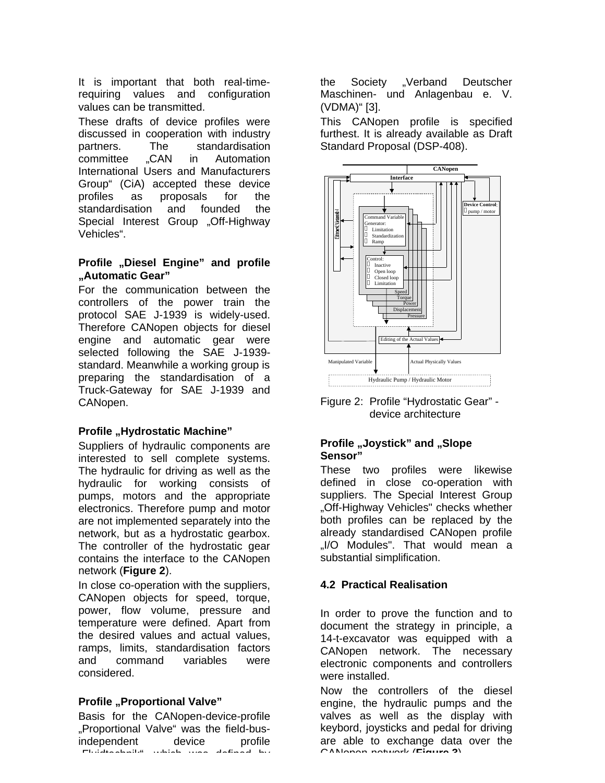It is important that both real-timerequiring values and configuration values can be transmitted.

These drafts of device profiles were discussed in cooperation with industry partners. The standardisation committee .CAN in Automation International Users and Manufacturers Group" (CiA) accepted these device profiles as proposals for the standardisation and founded the Special Interest Group .Off-Highway Vehicles".

#### **Profile "Diesel Engine" and profile "Automatic Gear"**

For the communication between the controllers of the power train the protocol SAE J-1939 is widely-used. Therefore CANopen objects for diesel engine and automatic gear were selected following the SAE J-1939 standard. Meanwhile a working group is preparing the standardisation of a Truck-Gateway for SAE J-1939 and CANopen.

## **Profile "Hydrostatic Machine"**

Suppliers of hydraulic components are interested to sell complete systems. The hydraulic for driving as well as the hydraulic for working consists of pumps, motors and the appropriate electronics. Therefore pump and motor are not implemented separately into the network, but as a hydrostatic gearbox. The controller of the hydrostatic gear contains the interface to the CANopen network (**Figure 2**).

In close co-operation with the suppliers, CANopen objects for speed, torque, power, flow volume, pressure and temperature were defined. Apart from the desired values and actual values, ramps, limits, standardisation factors and command variables were considered.

## **Profile "Proportional Valve"**

Basis for the CANopen-device-profile "Proportional Valve" was the field-busindependent device profile "Fluidtechnik", which was defined by

the Society "Verband Deutscher Maschinen- und Anlagenbau e. V. (VDMA)" [3].

This CANopen profile is specified furthest. It is already available as Draft Standard Proposal (DSP-408).



Figure 2: Profile "Hydrostatic Gear" device architecture

## **Profile "Joystick" and "Slope Sensor"**

These two profiles were likewise defined in close co-operation with suppliers. The Special Interest Group "Off-Highway Vehicles" checks whether both profiles can be replaced by the already standardised CANopen profile ..I/O Modules". That would mean a substantial simplification.

## **4.2 Practical Realisation**

In order to prove the function and to document the strategy in principle, a 14-t-excavator was equipped with a CANopen network. The necessary electronic components and controllers were installed.

Now the controllers of the diesel engine, the hydraulic pumps and the valves as well as the display with keybord, joysticks and pedal for driving are able to exchange data over the CANopen-network (**Figure 3**).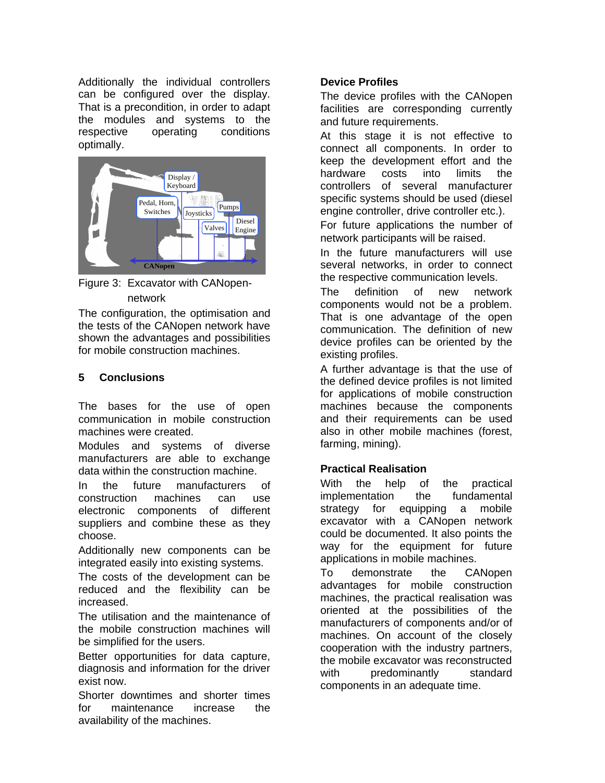Additionally the individual controllers can be configured over the display. That is a precondition, in order to adapt the modules and systems to the respective operating conditions optimally.



Figure 3: Excavator with CANopennetwork

The configuration, the optimisation and the tests of the CANopen network have shown the advantages and possibilities for mobile construction machines.

# **5 Conclusions**

The bases for the use of open communication in mobile construction machines were created.

Modules and systems of diverse manufacturers are able to exchange data within the construction machine.

In the future manufacturers of construction machines can use electronic components of different suppliers and combine these as they choose.

Additionally new components can be integrated easily into existing systems.

The costs of the development can be reduced and the flexibility can be increased.

The utilisation and the maintenance of the mobile construction machines will be simplified for the users.

Better opportunities for data capture, diagnosis and information for the driver exist now.

Shorter downtimes and shorter times for maintenance increase the availability of the machines.

## **Device Profiles**

The device profiles with the CANopen facilities are corresponding currently and future requirements.

At this stage it is not effective to connect all components. In order to keep the development effort and the hardware costs into limits the controllers of several manufacturer specific systems should be used (diesel engine controller, drive controller etc.).

For future applications the number of network participants will be raised.

In the future manufacturers will use several networks, in order to connect the respective communication levels.

The definition of new network components would not be a problem. That is one advantage of the open communication. The definition of new device profiles can be oriented by the existing profiles.

A further advantage is that the use of the defined device profiles is not limited for applications of mobile construction machines because the components and their requirements can be used also in other mobile machines (forest, farming, mining).

## **Practical Realisation**

With the help of the practical implementation the fundamental strategy for equipping a mobile excavator with a CANopen network could be documented. It also points the way for the equipment for future applications in mobile machines.

To demonstrate the CANopen advantages for mobile construction machines, the practical realisation was oriented at the possibilities of the manufacturers of components and/or of machines. On account of the closely cooperation with the industry partners, the mobile excavator was reconstructed with predominantly standard components in an adequate time.